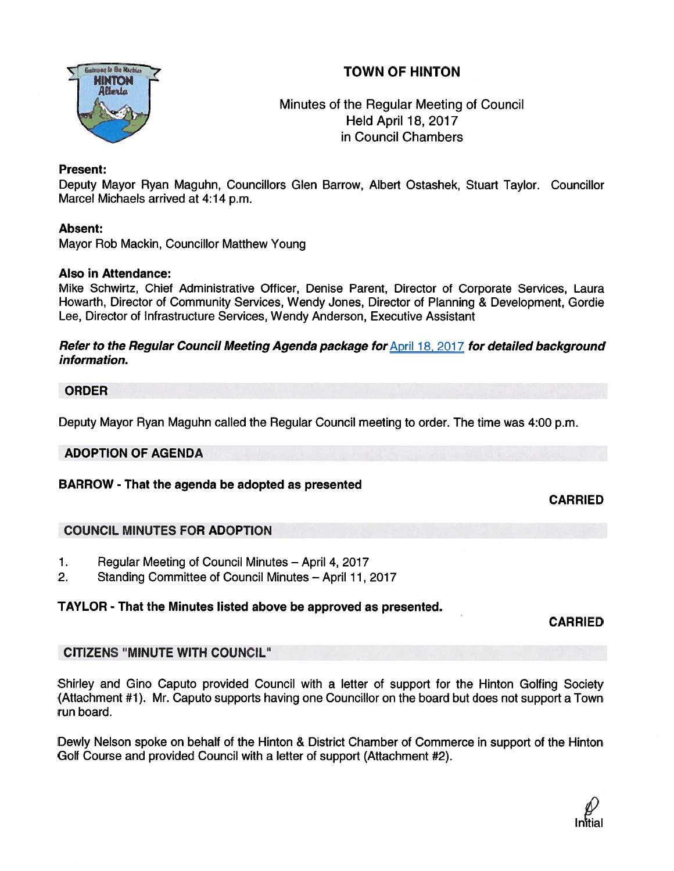# TOWN OF HINTON



Minutes of the Regular Meeting of Council Held April 18, 2017 in Council Chambers

# Present:

Deputy Mayor Ryan Maguhn, Councillors Glen Barrow, Albert Ostashek, Stuart Taylor. Councillor Marcel Michaels arrived at 4:14 p.m.

# Absent:

Mayor Rob Mackin, Councillor Matthew Young

# Also in Attendance:

Mike Schwirtz, Chief Administrative Officer, Denise Parent, Director of Corporate Services, Laura Howarth, Director of Community Services, Wendy Jones, Director of Planning & Development, Gordie Lee, Director of Infrastructure Services, Wendy Anderson, Executive Assistant

### Refer to the Regular Council Meeting Agenda package for April 18, 2017 for detailed background information.

# ORDER

Deputy Mayor Ryan Maguhn called the Regular Council meeting to order. The time was 4:00 p.m.

### ADOPTION OF AGENDA

# BARROW - That the agenda be adopted as presented

CARRIED

# COUNCIL MINUTES FOR ADOPTION

- 1. Regular Meeting of Council Minutes April 4, 2017
- 2. Standing Committee of Council Minutes April 11, 2017

# TAYLOR - That the Minutes listed above be approved as presented.

CARRIED

# CITIZENS "MINUTE WITH COUNCIL"

Shirley and Gino Caputo provided Council with <sup>a</sup> letter of suppor<sup>t</sup> for the Hinton Golfing Society (Attachment #1). Mr. Caputo supports having one Councillor on the board but does not suppor<sup>t</sup> <sup>a</sup> Town run board.

Dewly Nelson spoke on behalf of the Hinton & District Chamber of Commerce in suppor<sup>t</sup> of the Hinton Golf Course and provided Council with <sup>a</sup> letter of suppor<sup>t</sup> (Attachment #2).

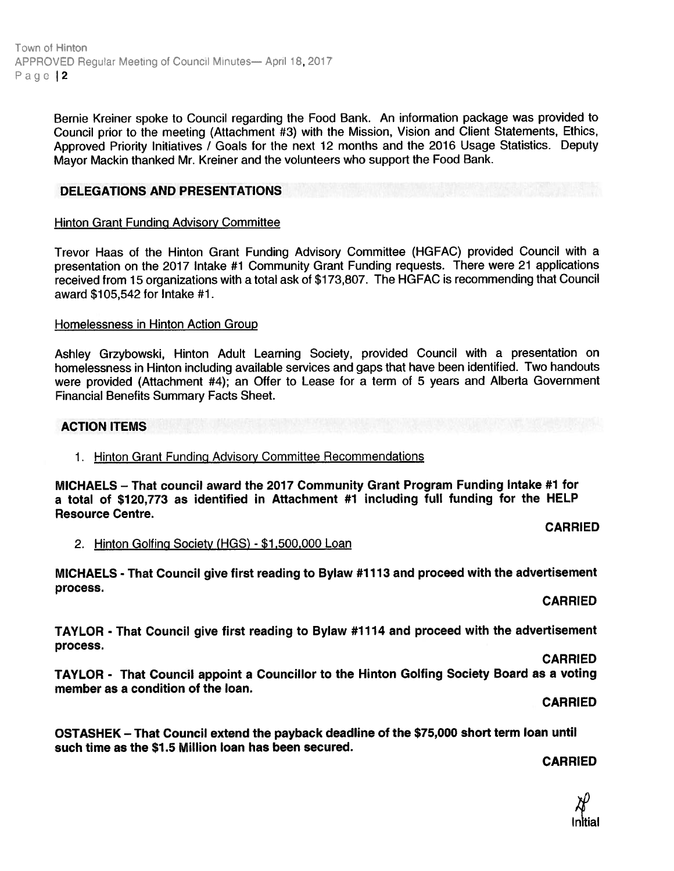Town ot Hinton APPROVED Requiar Meeting of Council Minutes— April 18, 2017 Page 12

> Bernie Kreiner spoke to Council regarding the Food Bank. An information package was provided to Council prior to the meeting (Attachment #3) with the Mission, Vision and Client Statements, Ethics, Approved Priority Initiatives / Goals for the next <sup>12</sup> months and the <sup>2016</sup> Usage Statistics. Deputy Mayor Mackin thanked Mr. Kreiner and the volunteers who suppor<sup>t</sup> the Food Bank.

### DELEGATIONS AND PRESENTATIONS

### Hinton Grant Funding Advisory Committee

Trevor Haas of the Hinton Grant Funding Advisory Committee (HGFAC) provided Council with <sup>a</sup> presentation on the <sup>2017</sup> Intake #1 Community Grant Funding requests. There were <sup>21</sup> applications received from <sup>15</sup> organizations with <sup>a</sup> total ask of \$173,807. The HGFAC is recommending that Council award \$105,542 for Intake #1.

### Homelessness in Hinton Action Group

Ashley Grzybowski, Hinton Adult Learning Society, provided Council with <sup>a</sup> presentation on homelessness in Hinton including available services and gaps that have been identified. Two handouts were provided (Attachment #4); an Offer to Lease for <sup>a</sup> term of 5 years and Alberta Government Financial Benefits Summary Facts Sheet.

### ACTION ITEMS

### 1. Hinton Grant Funding Advisory Committee Recommendations

MICHAELS — That council award the 2077 Community Grant Program Funding Intake #1 for <sup>a</sup> total of \$120,773 as identified in Attachment #1 including full funding for the HELP Resource Centre.

CARRIED

2. Hinton Golfing Society (HGS) - \$1,500,000 Loan

MICHAELS - That Council <sup>g</sup>ive first reading to Bylaw #11 <sup>73</sup> and proceed with the advertisement process.

CARRIED

TAYLOR - That Council give first reading to Bylaw #17 14 and proceed with the advertisement process.

CARRIED

TAYLOR - That Council appoint <sup>a</sup> Councillor to the Hinton Golfing Society Board as <sup>a</sup> voting member as <sup>a</sup> condition of the loan.

CARRiED

OSTASHEK — That Council extend the payback deadline of the \$75,000 short term loan until such time as the \$1.5 Million loan has been secured.

### CARRIED

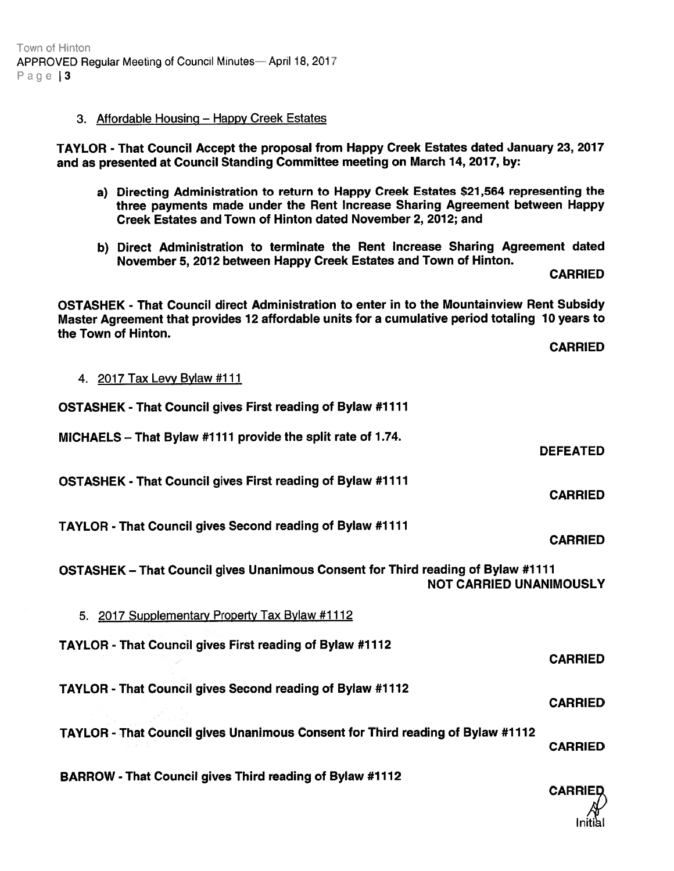### 3. Affordable Housing — Happy Creek Estates

TAYLOR -That Council Accept the proposa<sup>l</sup> from Happy Creek Estates dated January 23, 2017 and as presented at Council Standing Committee meeting on March 14, 2017, by:

- a) Directing Administration to return to Happy Creek Estates \$21,564 representing the three payments made under the Rent Increase Sharing Agreement between Happy Creek Estates and Town of Hinton dated November 2, 2012; and
- b) Direct Administration to terminate the Rent Increase Sharing Agreement dated November 5, 2012 between Happy Creek Estates and Town of Hinton.

CARRIED

OSTASHEK - That Council direct Administration to enter in to the Mountainview Rent Subsidy Master Agreement that provides <sup>12</sup> affordable units for <sup>a</sup> cumulative period totaling <sup>10</sup> years to the Town of Hinton.

CARRIED

4. 2017 Tax Levy Bylaw #111

| <b>OSTASHEK - That Council gives First reading of Bylaw #1111</b>                                                  |                 |
|--------------------------------------------------------------------------------------------------------------------|-----------------|
| MICHAELS - That Bylaw #1111 provide the split rate of 1.74.                                                        | <b>DEFEATED</b> |
| <b>OSTASHEK - That Council gives First reading of Bylaw #1111</b>                                                  | <b>CARRIED</b>  |
| <b>TAYLOR - That Council gives Second reading of Bylaw #1111</b>                                                   | <b>CARRIED</b>  |
| OSTASHEK - That Council gives Unanimous Consent for Third reading of Bylaw #1111<br><b>NOT CARRIED UNANIMOUSLY</b> |                 |
| 5. 2017 Supplementary Property Tax Bylaw #1112                                                                     |                 |
| TAYLOR - That Council gives First reading of Bylaw #1112                                                           | <b>CARRIED</b>  |
| TAYLOR - That Council gives Second reading of Bylaw #1112                                                          | <b>CARRIED</b>  |
| TAYLOR - That Council gives Unanimous Consent for Third reading of Bylaw #1112                                     | <b>CARRIED</b>  |

BARROW - That Council gives Third reading of Bylaw #7712

**CARRIE** Initial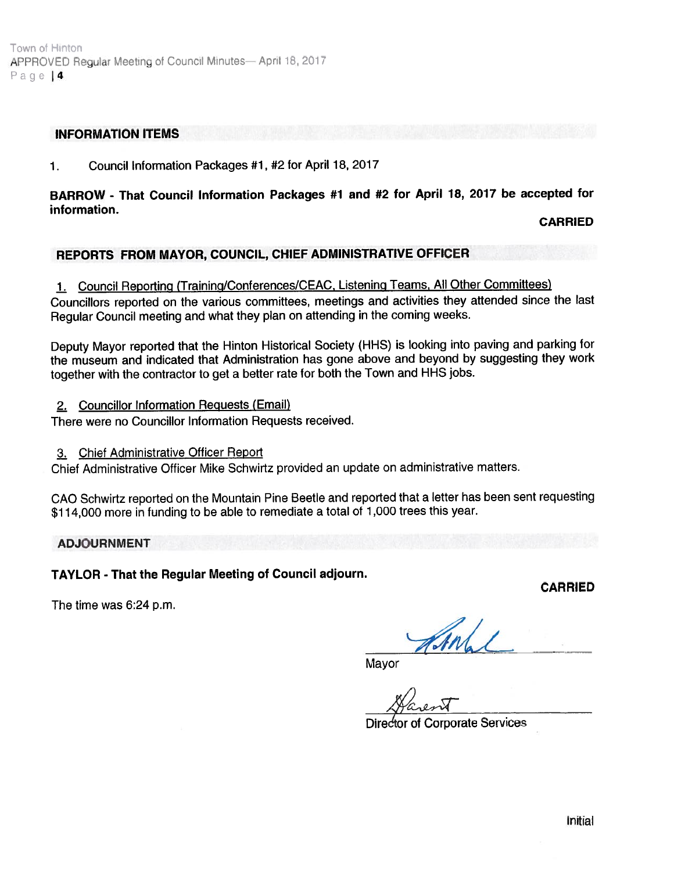### INFORMATION ITEMS

1. Council Information Packages #1, #2 for April 18, 2017

# BARROW - That Council Information Packages #1 and #2 for April 18, <sup>2077</sup> be accepted for information.

CARRIED

# REPORTS FROM MAYOR, COUNCIL, CHIEF ADMINISTRATIVE OFFICER

### 1. Council Reporting (Training/Conferences/CEAC, Listening Teams, All Other Committees)

Councillors reported on the various committees, meetings and activities they attended since the last Regular Council meeting and what they <sup>p</sup>lan on attending in the coming weeks.

Deputy Mayor reported that the Hinton Historical Society (HHS) is looking into paving and parking for the museum and indicated that Administration has gone above and beyond by suggesting they work together with the contractor to ge<sup>t</sup> <sup>a</sup> better rate for both the Town and HHS jobs.

### 2. Councillor Information Requests (Email)

There were no Councillor Information Requests received.

### 3. Chief Administrative Officer Report

Chief Administrative Officer Mike Schwirtz provided an update on administrative matters.

CAO Schwirtz reported on the Mountain Pine Beetle and reported that <sup>a</sup> letter has been sent requesting \$1 14,000 more in funding to be able to remediate <sup>a</sup> total of 1,000 trees this year.

### ADJOURNMENT

TAYLOR - That the Regular Meeting of Council adjourn.

CARRIED

The time was 6:24 p.m.

Mayor

 $\sim$ i $\sim$ 

Diredtor at Corporate Services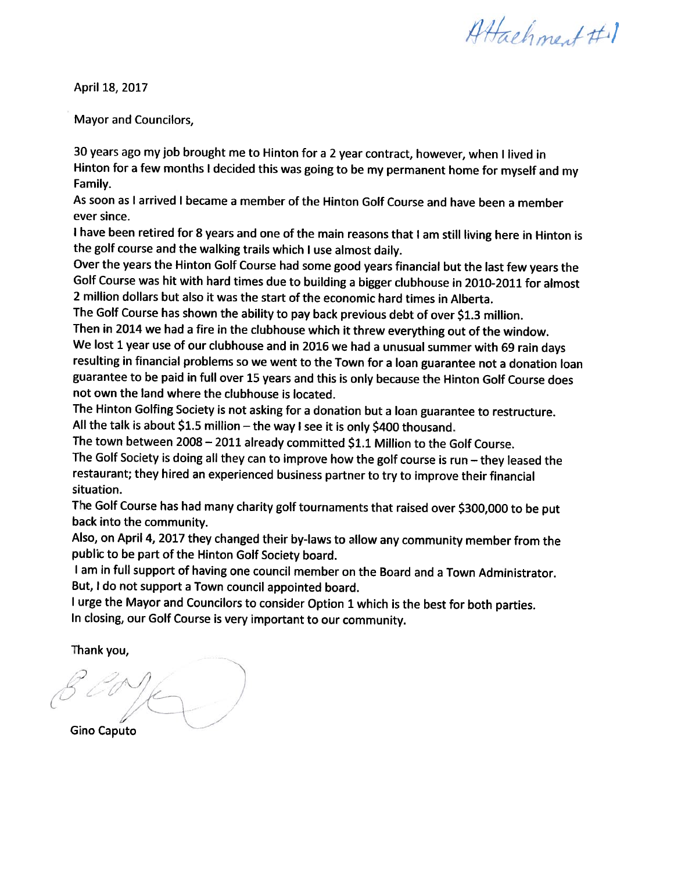Attachment #1

April 18, 2017

Mayor and Councilors,

<sup>30</sup> years ago my job brought me to Hinton for <sup>a</sup> <sup>2</sup> year contract, however, when <sup>I</sup> lived in Hinton for <sup>a</sup> few months <sup>I</sup> decided this was going to be my permanent home for myself and my Family.

As soon as <sup>I</sup> arrived <sup>I</sup> became <sup>a</sup> member of the Hinton Golf Course and have been <sup>a</sup> member ever since.

<sup>I</sup> have been retired for <sup>8</sup> years and one of the main reasons that <sup>I</sup> am still living here in Hinton is the golf course and the walking trails which <sup>I</sup> use almost daily.

Over the years the Hinton Golf Course had some good years financial but the last few years the Golf Course was hit with hard times due to building <sup>a</sup> bigger clubhouse in 2010-2011 for almost 2 million dollars but also it was the start of the economic hard times in Alberta.

The Golf Course has shown the ability to pay back previous debt of over \$1.3 million.

Then in <sup>2014</sup> we had <sup>a</sup> fire in the clubhouse which it threw everything out of the window. We lost <sup>1</sup> year use of our clubhouse and in <sup>2016</sup> we had <sup>a</sup> unusual summer with <sup>69</sup> rain days resulting in financial problems so we went to the Town for <sup>a</sup> loan guarantee not <sup>a</sup> donation loan guarantee to he paid in full over <sup>15</sup> years and this is only because the Hinton Golf Course does not own the land where the clubhouse is located.

The Hinton Golfing Society is not asking for <sup>a</sup> donation but <sup>a</sup> loan guarantee to restructure. All the talk is about \$1.5 million — the way <sup>I</sup> see it is only \$400 thousand.

The town between 2008 - 2011 already committed \$1.1 Million to the Golf Course.

The Golf Society is doing all they can to improve how the golf course is run — they leased the restaurant; they hired an experienced business partner to try to improve their financial situation.

The Golf Course has had many charity golf tournaments that raised over \$300,000 to be put back into the community.

Also, on April 4, <sup>2017</sup> they changed their by-laws to allow any community member from the public to be part of the Hinton Golf Society board.

<sup>I</sup> am in full support of having one council member on the Board and <sup>a</sup> Town Administrator. But, <sup>I</sup> do not support <sup>a</sup> Town council appointed board.

<sup>I</sup> urge the Mayor and Councilors to consider Option <sup>1</sup> which is the best for both parties. In closing, our Golf Course is very important to our community.

Thank you,

/'\_  $e^{\gamma}$ Gino Caputo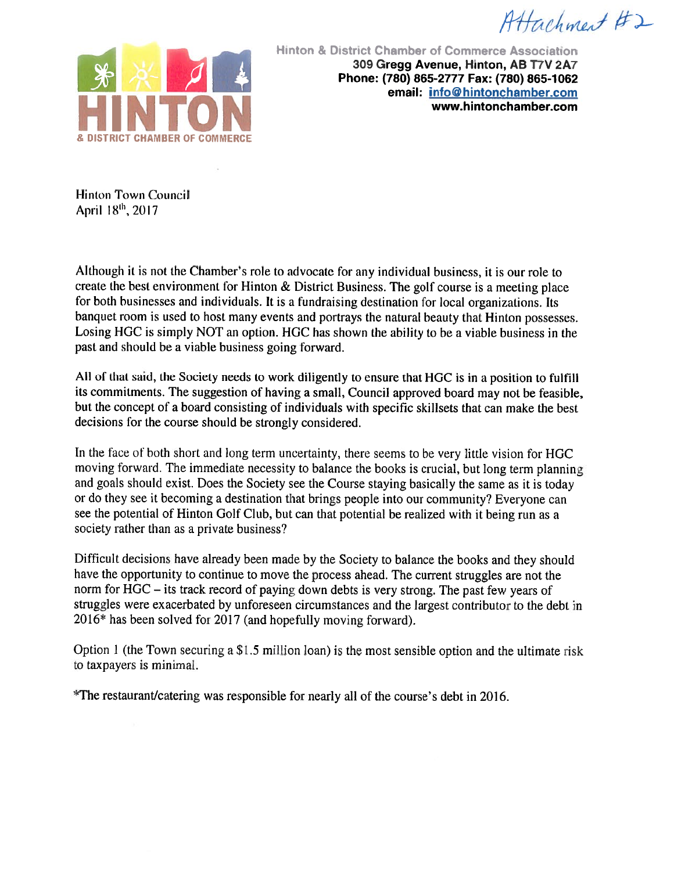$AHachmetH2$ 



Hinton & District Chamber ot Commerce Association 309 Gregg Avenue, Hinton, AB T7V 2A7 Phone: (780) 865-2777 Fax: (780) 865-1062 email: info@hintonchamber.com 11 <sup>I</sup> 11 10<sup>N</sup> www.hintonchamber.com

Hinton Town Council April  $18^{th}$ , 2017

Although it is not the Chamber's role to advocate for any individual business, it is our role to create the best environment for Hinton  $\&$  District Business. The golf course is a meeting place for both businesses and individuals. It is <sup>a</sup> fundraising destination for local organizations. Its banquet room is used to host many events and portrays the natural beauty that Hinton possesses. Losing HGC is simply NOT an option. HGC has shown the ability to be a viable business in the past and should be a viable business going forward.

All of that said, the Society needs to work diligently to ensure that HGC is in <sup>a</sup> position to fulfill its commitments. The suggestion of having <sup>a</sup> small, Council approve<sup>d</sup> board may not be feasible, but the concep<sup>t</sup> of <sup>a</sup> board consisting of individuals with specific skillsets that can make the best decisions for the course should be strongly considered.

In the face of both short and long term uncertainty, there seems to be very little vision for HGC moving forward. The immediate necessity to balance the books is crucial, hut long term <sup>p</sup>lanning and goals should exist. Does the Society see the Course staying basically the same as it is today or do they see it becoming <sup>a</sup> destination that brings people into our community? Everyone can see the potential of Hinton Golf Club, but can that potential be realized with it being run as a society rather than as <sup>a</sup> private business?

Difficult decisions have already been made by the Society to balance the books and they should have the opportunity to continue to move the process ahead. The current struggles are not the norm for HGC — its track record of paying down debts is very strong. The pas<sup>t</sup> few years of struggles were exacerbated by unforeseen circumstances and the largest contributor to the debt in 2016\* has been solved for <sup>2017</sup> (and hopefully moving forward).

Option 1 (the Town securing a  $$1.5$  million loan) is the most sensible option and the ultimate risk to taxpayers is minimal.

\*The restaurantlcatering was responsible for nearly all of the course's debt in 2016.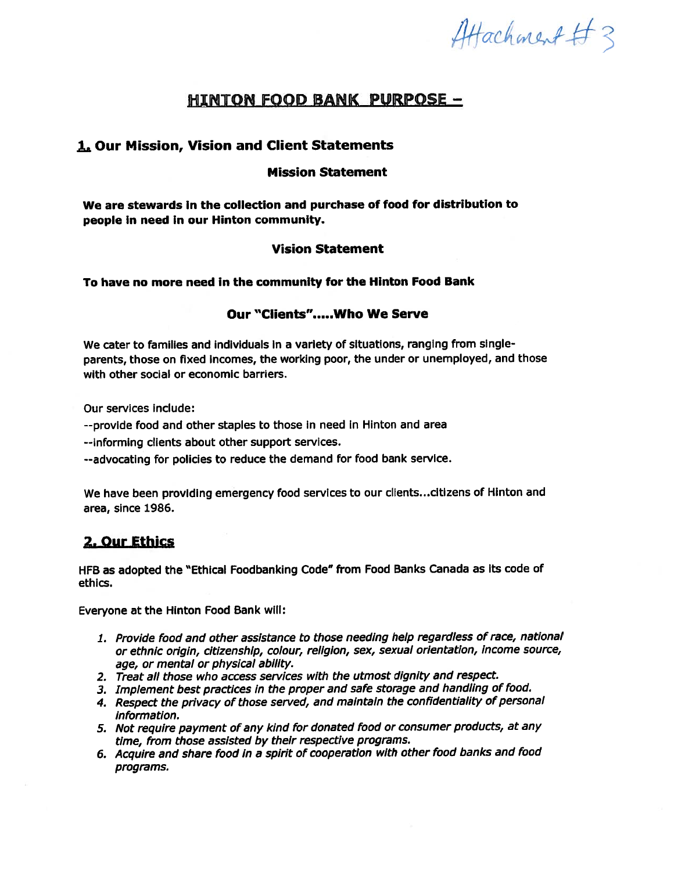Attachment #3

# **HINTON FOOD BANK PURPOSE -**

# L Our Mission, Vision and Client Statements

### Mission Statement

We are stewards in the collection and purchase of food for distribution to people In need in our Hinton community.

### Vision Statement

### To have no more need in the community for the Hinton Food Bank

### Our "Clients".....Who We Serve

We cater to families and individuals in a variety of situations, ranging from singleparents, those on fixed Incomes, the working poor, the under or unemployed, and those with other social or economic barriers.

Our services include:

--provide food and other staples to those in need in Hinton and area

--informing clients about other suppor<sup>t</sup> services.

--advocating for policies to reduce the demand for food bank service.

We have been providing emergency food services to our clients.. .citlzens of Hinton and area, since 1986.

# 2. Our Ethics

HFB as adopted the "Ethical Foodbanking Code" from Food Banks Canada as Its code of ethics.

Everyone at the Hinton Food Bank will:

- 1. Provide food and other assistance to those needing help regardless of race, national or ethnic origin, citizenship, colour, religion, sex, sexual orientation, income source, age, or mental or <sup>p</sup>hysical ability.
- 2. Treat all those who access services with the utmost dignity and respect.
- 3. Implement best practices in the proper and safe storage and handling of food.
- 4. Respect the privacy of those served, and maintain the confidentiality of persona<sup>l</sup> information.
- 5. Not require paymen<sup>t</sup> of any kind for donated food or consumer products, at any time, from those assisted by their respective programs.
- 6. Acquire and share food in <sup>a</sup> spirit of cooperation with other food banks and food programs.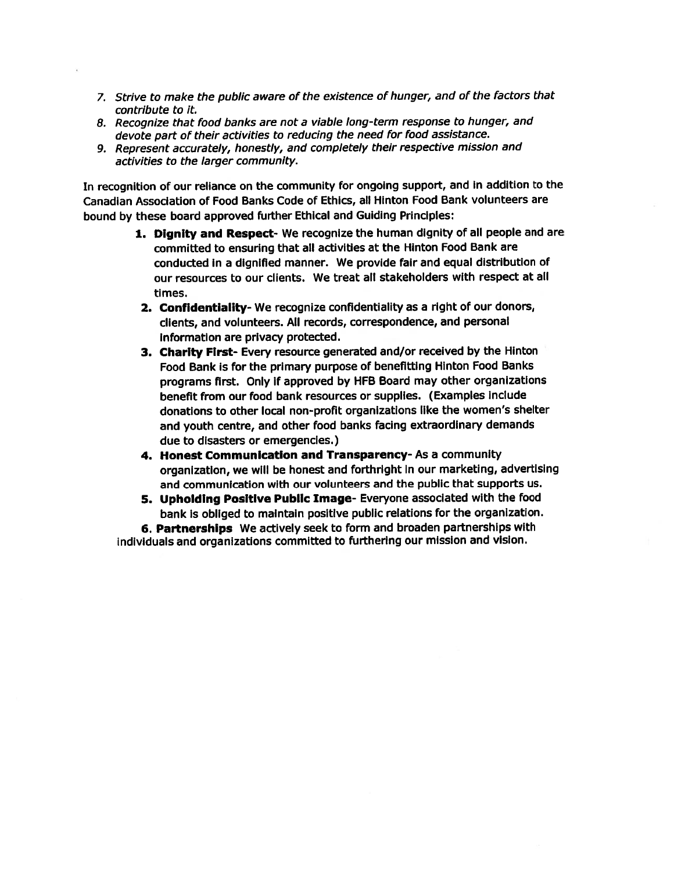- 7. Strive to make the public aware of the existence of hunger, and of the factors that contribute to it.
- 8. Recognize that food banks are not <sup>a</sup> viable long-term response to hunger, and devote par<sup>t</sup> of their activities to reducing the need for food assistance.
- 9. Represent accurately, honestly, and completely their respective mission and activities to the larger community.

In recognition of our reliance on the community for ongoing support, and in addition to the Canadian Association of Food Banks Code of Ethics, all Hinton Food Bank volunteers are bound by these board approve<sup>d</sup> further Ethical and Guiding Principles:

- 1. Dignity and Respect- We recognize the human dignity of all people and are committed to ensuring that all activities at the Hinton Food Bank are conducted in <sup>a</sup> dignified manner. We provide fair and equa<sup>l</sup> distribution of our resources to our clients. We treat all stakeholders with respec<sup>t</sup> at all times.
- 2. Confidentiality- We recognize confidentiality as <sup>a</sup> right of our donors, clients, and volunteers. All records, correspondence, and personal Information are privacy protected.
- 3. Charity First- Every resource generated and/or received by the Hinton Food Bank is for the primary purpose of benefitting Hinton Food Banks programs first. Only if approve<sup>d</sup> by HFB Board may other organizations benefit from our food bank resources or supplies. (Examples include donations to other local non-profit organizations like the women's shelter and youth centre, and other food banks facing extraordinary demands due to disasters or emergencies.)
- 4. Honest Communication and Transparency- As <sup>a</sup> community organization, we will be honest and forthright in our marketing, advertising and communication with our volunteers and the public that supports us.
- 5. Upholding Positive Public Image- Everyone associated with the food bank Is obliged to maintain positive public relations for the organization.

6. Partnerships We actively seek to form and broaden partnerships with individuals and organizations committed to furthering our mission and vision.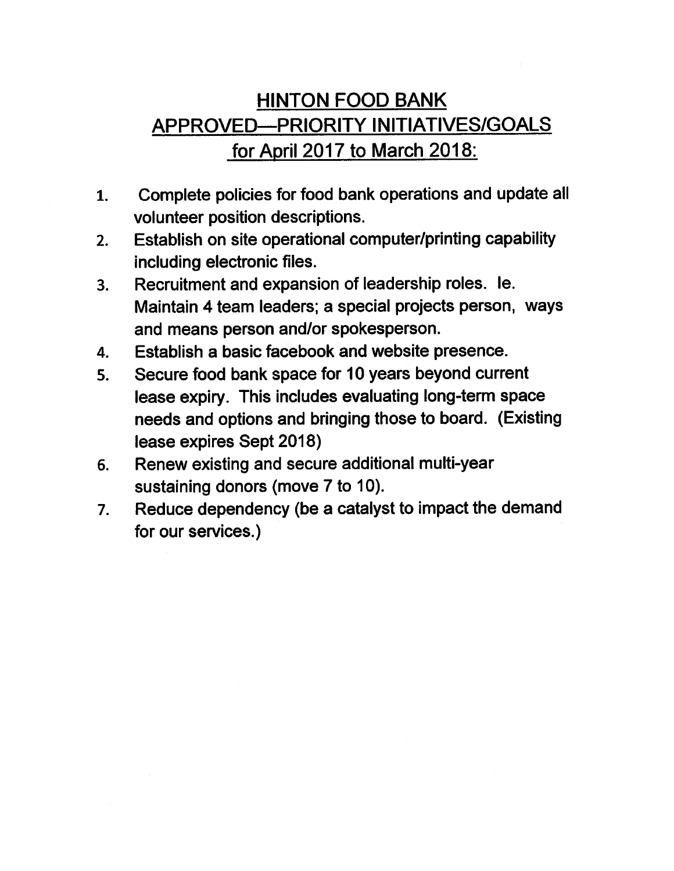# HINTON FOOD BANK APPROVED—PRIORITY INITIATIVES/GOALS for April 2017 to March 2018:

- 1. Complete policies for food bank operations and update all volunteer position descriptions.
- 2. Establish on site operational computer/printing capability including electronic files.
- 3. Recruitment and expansion of leadership roles. le. Maintain 4 team leaders; <sup>a</sup> special projects person, ways and means person and/or spokesperson.
- 4. Establish <sup>a</sup> basic facebook and website presence.
- 5. Secure food bank space for 10 years beyond current lease expiry. This includes evaluating long-term space needs and options and bringing those to board. (Existing lease expires Sept 2018)
- 6. Renew existing and secure additional multi-year sustaining donors (move 7 to 10).
- 7. Reduce dependency (be <sup>a</sup> catalyst to impact the demand for our services.)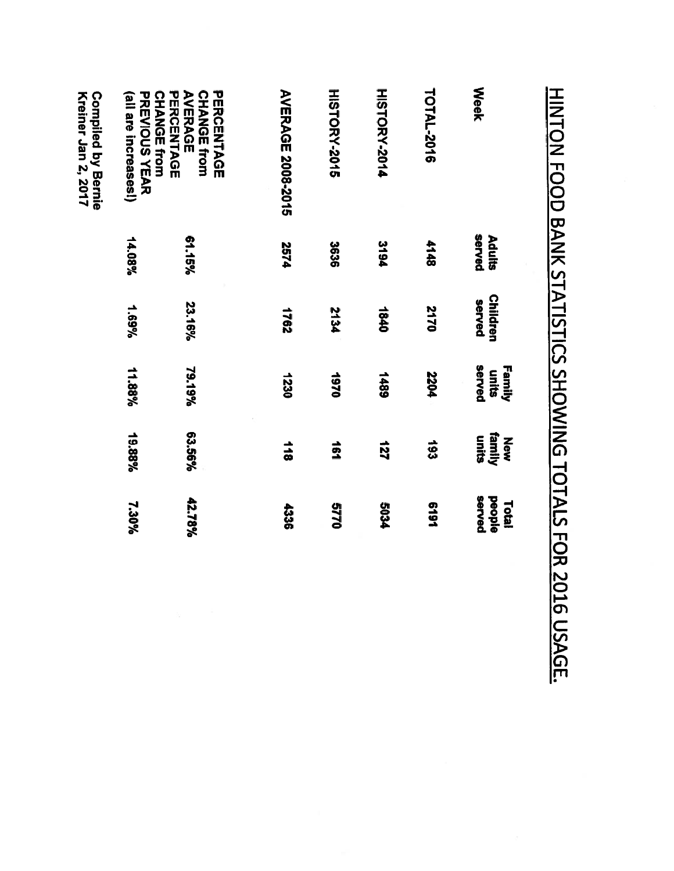| <b>Neek</b>                                                                                                                     | served<br>Adults | <b>Children</b><br>served | served<br>Family<br>units | family<br>units<br>New | served<br><b>Deople</b><br>Total |
|---------------------------------------------------------------------------------------------------------------------------------|------------------|---------------------------|---------------------------|------------------------|----------------------------------|
| TOTAL-2016                                                                                                                      | 4148             | 2170                      | 2204                      | £61                    | 1619                             |
| <b>HISTORY-2014</b>                                                                                                             | 3194             | 1840                      | <b>1489</b>               | 127                    | 5034                             |
| HISTORY-2015                                                                                                                    | 3636             | <b>2134</b>               | 0261                      | $\frac{1}{2}$          | 0119                             |
| <b>AVERAGE 2008-2015</b>                                                                                                        | <b>2574</b>      | 7921                      | 1230                      | 118                    | 4336                             |
| AVERAGE<br>PERCENTAGE<br><b>CHANGE from</b><br>(all are increases!)<br><b>PREVIOUS YEAR</b><br><b>CHANGE from</b><br>PERCENTAGE | 61.15%<br>14.08% | 23.16%<br>%69°1           | 79.19%<br>11.88%          | 63.56%<br>19.88%       | 42.78%<br>7.30%                  |
| <b>Kreiner Jan 2, 2017</b><br><b>Compiled by Bernie</b>                                                                         |                  |                           |                           |                        |                                  |

# H<br>NO1N FOOD D<br>N<br>K STATISTICS SHOWING TOTALS 고<br>모 2016 USAGE.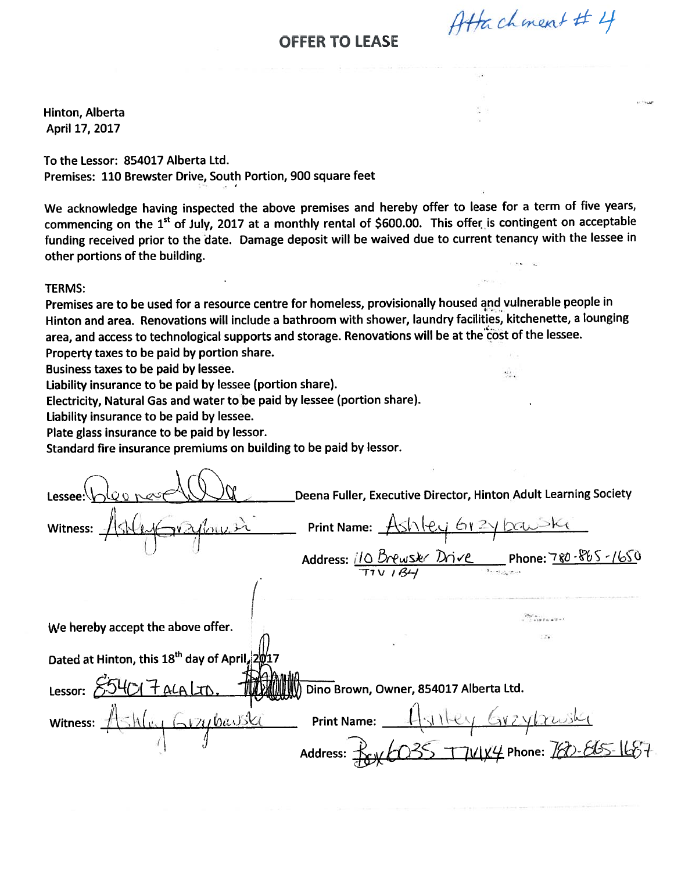# **OFFER TO LEASE**

Hinton, Alberta April 17, 2017

To the Lessor: \$54017 Alberta Ltd. Premises: 110 Brewster Drive, South Portion, 900 square feet

We acknowledge having inspected the above premises and hereby offer to lease for a term of five years, commencing on the 1<sup>st</sup> of July, 2017 at a monthly rental of \$600.00. This offer is contingent on acceptable funding received prior to the date. Damage deposit will be waived due to current tenancy with the lessee in other portions of the building.

### TERMS:

Premises are to be used for <sup>a</sup> resource centre for homeless, provisionally housed and vulnerable people in Hinton and area. Renovations will include <sup>a</sup> bathroom with shower, laundry facilities, kitchenette, <sup>a</sup> lounging area, and access to technological supports and storage. Renovations will be at the cost of the lessee. Property taxes to be paid by portion share.

Business taxes to be paid by lessee.

Liability insurance to be paid by lessee (portion share).

Electricity, Natural Gas and water to be paid by lessee (portion share).

Liability insurance to be paid by lessee.

Plate glass insurance to be paid by lessor.

Standard fire insurance premiums on building to be paid by lessor.

Deena Fuller, Executive Director, Hinton Adult Learning Society OFFER TO LEASE<br>
Winton, Alberta<br>
Shopil 17, 2017<br>
Yo the Lessor: 854017 Alberta Ltd.<br>
Nominas: 110 Brewster Drive, South Portion, 900 square feet<br>
We acknowledge having inspected the above premises and hereby offer to les Address: IO *Dr*ewski Drive Phone:780-865-1650 r7v ( We hereby accept the above offer. Dated at Hinton, this  $18^{th}$  day of April,  $2\rlap/ v 17$ Lessor:  $554017$  ALA LTD, 100 MMMM) Dino Brown, Owner, 854017 Alberta Ltd. Internal Abertia<br>
Intent, Alberta Intel and Specifical European Specifical European Specifical European Specifical European Specifical European Specifical Content<br>
We acknowledge having inspected the above premises and he Ii Print Name:  $\frac{1}{1}$ silley Grzybruski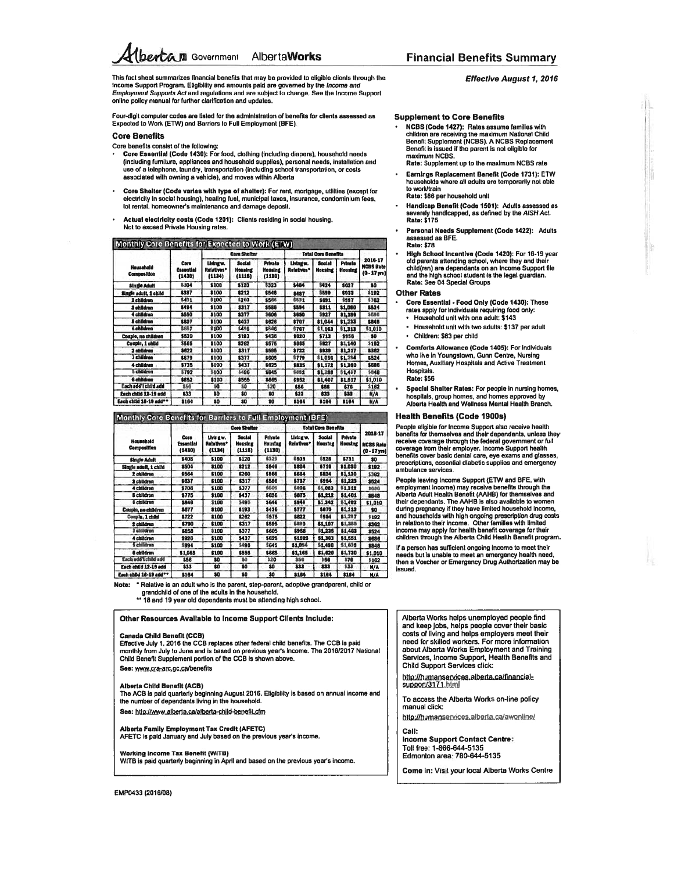**Ibercam** Government Alberta Works

This fact sheet summarizes financial benefits that may be provided to eligible clients through the<br>Income Support Program. Eligibility and amounts paid are governed by the Income and Employment Supports Act and regulations and are subject to change. See the income Support online policy manual for further clarification and updates.

Four-digit computer codes are listed for the administration of benefits for clients assessed as Expected to Work (ETW) and Barriers to Full Employment (BFE).

### **Core Benefits**

Core benefits consist of the following:

- Core Essential (Code 1430): For food, clothing (including diapers), household needs (including furniture, appliances and household supplies), personal needs, installation and<br>use of a telephone, laundry, transportation (including school transportation, or costs associated with owning a vehicle), and moves within Alberta
- Core Shelter (Code varies with type of shelter): For rent, mortgage, utilities (except for electricity in social housing), heating fuel, municipal taxes, insurance, condominium fees,<br>lot rental, homeowner's maintenance and damage deposit.
- Actual electricity costs (Code 1201): Clients residing in social housing. Not to exceed Private Housing rates.

### Monthly Core Benefits for Expected to Work (ETW)

|                                    |                             |                                   | <b>Cara Shaltar</b>                       |                                            |                         | <b>Total Core Benefits</b> |                           |                                               |
|------------------------------------|-----------------------------|-----------------------------------|-------------------------------------------|--------------------------------------------|-------------------------|----------------------------|---------------------------|-----------------------------------------------|
| Household<br><b>Composition</b>    | Core<br>Essential<br>(1430) | Living w.<br>Relatives*<br>(1134) | <b>Social</b><br><b>Housing</b><br>(1115) | <b>Private</b><br><b>Housing</b><br>(1130) | Living w.<br>Relatives* | <b>Social</b><br>Housing   | <b>Private</b><br>Housing | 2016-17<br><b>NCBS Rate</b><br>$(0 - 17$ wall |
| <b>Single Adult</b>                | \$304                       | \$100                             | \$120                                     | \$323                                      | \$404                   | \$424                      | \$627                     | \$0                                           |
| Single adult, 1 child              | \$387                       | \$100                             | \$212                                     | \$546                                      | 8487                    | \$599                      | \$933                     | \$192                                         |
| 2 children                         | \$431                       | \$100                             | \$260                                     | \$566                                      | 6531                    | \$691                      | \$997                     | \$362                                         |
| 3 children                         | \$494                       | \$100                             | 8317                                      | \$586                                      | \$594                   | \$811                      | \$1,080                   | \$524                                         |
| 4 children                         | \$550                       | \$100                             | \$377                                     | \$606                                      | \$650                   | \$927                      | \$1,156                   | \$688                                         |
| <b>&amp;</b> children              | \$607                       | \$100                             | \$437                                     | \$626                                      | \$707                   | \$1,044                    | \$1,233                   | \$848                                         |
| 6 children                         | \$667                       | \$100                             | \$496                                     | \$646                                      | \$767                   | \$1,163                    | \$1,313                   | \$1,010                                       |
| Couple, no children                | \$520                       | \$100                             | \$193                                     | \$436                                      | \$620                   | \$713                      | \$956                     | \$0                                           |
| Couple, 1 child                    | \$565                       | \$100                             | \$262                                     | \$575                                      | \$665                   | \$827                      | \$1,140                   | \$192                                         |
| 2 children                         | \$622                       | \$100                             | \$317                                     | \$595                                      | \$722                   | \$939                      | \$1,217                   | \$362                                         |
| 3 children                         | \$679                       | \$100                             | \$377                                     | \$605                                      | \$779                   | \$1,056                    | \$1,284                   | \$524                                         |
| 4 children                         | \$735                       | \$100                             | \$437                                     | \$625                                      | \$835                   | \$1,172                    | \$1,360                   | \$686                                         |
| <b>5 children</b>                  | \$792                       | \$100                             | \$496                                     | \$645                                      | \$892                   | \$1,288                    | \$1,437                   | \$848                                         |
| 6 children                         | \$852                       | \$100                             | \$555                                     | \$665                                      | \$952                   | \$1,407                    | \$1,517                   | \$1,010                                       |
| Each add'l child add               | \$56                        | 80                                | 80                                        | \$20                                       | \$56                    | \$56                       | \$76                      | \$162                                         |
| Each child 12-19 add               | \$33                        | \$0                               | 80                                        | \$0                                        | 833                     | 833                        | \$33                      | N/A                                           |
| Each child 18-19 add <sup>**</sup> | \$164                       | \$0                               | \$0                                       | \$0                                        | \$164                   | \$184                      | \$164                     | N/A                                           |

### Monthly Core Benefits for Barriers to Full Employment (BFE)

| Household<br>Composition            | Core<br><b>Extential</b><br>{1430} |                                 | <b>Total Core Benefits</b><br><b>Core Shelter</b> |                                            |                                |                                 |                           |                                               |
|-------------------------------------|------------------------------------|---------------------------------|---------------------------------------------------|--------------------------------------------|--------------------------------|---------------------------------|---------------------------|-----------------------------------------------|
|                                     |                                    | thingw.<br>Relativas*<br>(1134) | <b>Social</b><br><b>Housing</b><br>(1115)         | <b>Private</b><br><b>Housing</b><br>(1130) | Living w.<br><b>Relatives*</b> | <b>Social</b><br><b>Houstna</b> | <b>Private</b><br>Housing | 2016-17<br><b>NCBS Rate</b><br>$(0 - 17$ yrs) |
| <b>Single Adult</b>                 | \$408                              | \$100                           | \$120                                             | \$323                                      | \$50B                          | \$528                           | \$731                     | \$0                                           |
| Single adult, 1 child               | \$504                              | \$100                           | \$212                                             | \$546                                      | \$604                          | \$716                           | \$1,050                   | \$192                                         |
| 2 children                          | \$564                              | \$100                           | \$260                                             | \$566                                      | \$664                          | \$824                           | \$1,130                   | \$382                                         |
| 3 children                          | \$637                              | \$100                           | \$317                                             | \$586                                      | \$737                          | \$954                           | \$1,223                   | \$524                                         |
| 4 children                          | \$706                              | \$100                           | \$377                                             | \$606                                      | \$806                          | \$1,083                         | \$1,312                   | \$686                                         |
| <b>5 children</b>                   | \$775                              | \$100                           | \$437                                             | \$626                                      | \$875                          | \$1,212                         | \$1,401                   | \$848                                         |
| 6 children                          | \$846                              | \$100                           | \$496                                             | \$646                                      | \$946                          | \$1,342                         | \$1,492                   | \$1,010                                       |
| Couple, no children                 | \$677                              | \$100                           | \$193                                             | \$438                                      | \$777                          | \$870                           | 81,113                    | \$0                                           |
| Couste, 1 child                     | \$722                              | \$100                           | \$282                                             | \$575                                      | \$822                          | \$984                           | \$1,297                   | \$192                                         |
| 2 children                          | \$790                              | \$100                           | \$317                                             | \$595                                      | \$890                          | \$1,107                         | \$1,385                   | \$362                                         |
| 3 children                          | \$858                              | \$100                           | \$377                                             | \$605                                      | \$958                          | \$1,235                         | \$1,483                   | \$524                                         |
| 4 children                          | \$926                              | \$100                           | \$437                                             | \$625                                      | \$1026                         | \$1,363                         | \$1,551                   | 3686                                          |
| 5 children                          | \$994                              | \$100                           | \$496                                             | \$645                                      | \$1,094                        | \$1,490                         | \$1,639                   | \$848                                         |
| 6 children                          | \$1,065                            | \$100                           | \$555                                             | \$665                                      | \$1,165                        | 81.620                          | \$1,730                   | \$1,010                                       |
| Each add I child add                | \$56                               | \$0                             | \$0                                               | \$20                                       | \$56                           | \$56                            | \$76                      | \$162                                         |
| Each child 12-19 add                | \$33                               | \$0                             | \$0                                               | \$0                                        | 833                            | 833                             | \$33                      | N/A                                           |
| Each child 18-19 add <sup>o v</sup> | \$164                              | \$O                             | \$0                                               | \$0                                        | \$164                          | \$164                           | \$164                     | N/A                                           |



\*\* 18 and 19 year old dependants must be attending high school.

Other Resources Available to Income Support Clients Include:

### **Canada Child Benefit (CCB)**

Effective July 1, 2016 the CCB replaces other federal child benefits. The CCB is paid<br>monthly from July to June and is based on previous year's income. The 2016/2017 National Child Benefit Supplement portion of the CCB is shown above. See: www.cra-arc.gc.ca/benefits

### **Alberta Child Benefit (ACB)**

The ACB is paid quarterly beginning August 2016. Eligibility is based on annual income and the number of dependants living in the household.

See: http://www.alberta.ca/alberta-child-benefit.cfm

Alberta Family Employment Tax Credit (AFETC) AFETC is paid January and July based on the previous year's income.

### Working Income Tax Benefit (WITB)

WITB is paid quarterly beginning in April and based on the previous year's income.

### **Effective August 1, 2016**

### **Supplement to Core Benefits**

- NCBS (Code 1427): Rates assume families with<br>children are receiving the maximum National Child Benefit Supplement (NCBS). A NCBS Replacement<br>Benefit is issued if the parent is not eligible for maximum NCBS.
- Rate: Supplement up to the maximum NCBS rate Earnings Replacement Benefit (Code 1731): ETW households where all adults are temporarily not able
- to work/train Rate: \$86 per household unit
- Handicap Benefit (Code 1501): Adults assessed as<br>severely handicapped, as defined by the AISH Act. **Rate: \$175**
- Personal Needs Supplement (Code 1422): Adults assessed as BFE. **Rate: \$78**
- High School Incentive (Code 1420): For 16-19 year old parents attending school, where they and their<br>child(ren) are dependants on an Income Support file and the high school student is the legal guardian.<br>Rate: See 04 Special Groups

### **Other Rates**

- Core Essential Food Only (Code 1430): These rates apply for individuals requiring food only: · Household unit with one adult: \$143
- · Household unit with two adults: \$137 per adult
- · Children: \$83 per child
- Comforts Allowance (Code 1405): For individuals who live in Youngstown, Gunn Centre, Nursing<br>Homes, Auxiliary Hospitals and Active Treatment Hospitals.

### **Rate: \$56**

Special Shelter Rates: For people in nursing homes, hospitals, group homes, and homes approved by<br>Alberta Health and Wellness Mental Health Branch.

### **Health Benefits (Code 1900s)**

People eligible for Income Support also receive health<br>benefits for themselves and their dependants, unless they receive coverage through the federal government or full coverage from their employer. Income Support health<br>benefits cover basic dental care, eye exams and glasses prescriptions, essential diabetic supplies and emergency ambulance services.

People leaving Income Support (ETW and BFE, with<br>employment income) may receive benefits through the<br>Alberta Adult Health Benefit (AAHB) for themseives and Austral Audit results between the AAHB is also available to women<br>their dependants. The AAHB is also available to women<br>and household income,<br>and household strib high ongoing prescription drug costs<br>in relation to their in income may apply for health benefit coverage for their<br>children through the Alberta Child Health Benefit progra

If a person has sufficient ongoing income to meet their needs but is unable to meet an emergency health need, then a Voucher or Emergency Drug Authorization may be issued.

Alberta Works helps unemployed people find and keep jobs, helps people cover their basic<br>costs of living and helps employers meet their need for skilled workers. For more information about Alberta Works Employment and Training Services, Income Support, Health Benefits and **Child Support Services click:** 

http://humanservices.alberta.ca/financial-<br>support/3171.html

To access the Alberta Works on-line policy manual click:

http://humanservices.alberta.ca/awonline/

Call: Income Support Contact Centre: Toll free: 1-866-644-5135 Edmonton area: 780-644-5135

Come in: Visit your local Alberta Works Centre